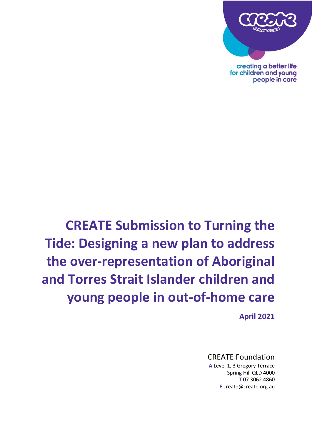

creating a better life for children and young people in care

# **CREATE Submission to Turning the Tide: Designing a new plan to address the over-representation of Aboriginal and Torres Strait Islander children and young people in out-of-home care**

**April 2021**

## CREATE Foundation

**A** Level 1, 3 Gregory Terrace Spring Hill QLD 4000 **T** 07 3062 4860 **E** create@create.org.au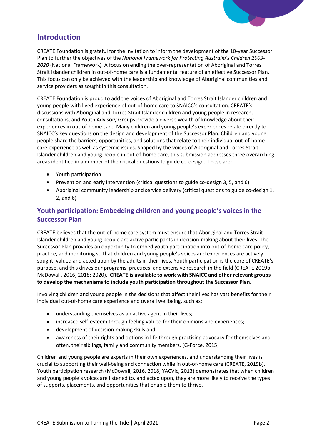

# **Introduction**

CREATE Foundation is grateful for the invitation to inform the development of the 10-year Successor Plan to further the objectives of the *National Framework for Protecting Australia's Children 2009- 2020* (National Framework)*.* A focus on ending the over-representation of Aboriginal and Torres Strait Islander children in out-of-home care is a fundamental feature of an effective Successor Plan. This focus can only be achieved with the leadership and knowledge of Aboriginal communities and service providers as sought in this consultation.

CREATE Foundation is proud to add the voices of Aboriginal and Torres Strait Islander children and young people with lived experience of out-of-home care to SNAICC's consultation. CREATE's discussions with Aboriginal and Torres Strait Islander children and young people in research, consultations, and Youth Advisory Groups provide a diverse wealth of knowledge about their experiences in out-of-home care. Many children and young people's experiences relate directly to SNAICC's key questions on the design and development of the Successor Plan. Children and young people share the barriers, opportunities, and solutions that relate to their individual out-of-home care experience as well as systemic issues. Shaped by the voices of Aboriginal and Torres Strait Islander children and young people in out-of-home care, this submission addresses three overarching areas identified in a number of the critical questions to guide co-design. These are:

- Youth participation
- Prevention and early intervention (critical questions to guide co-design 3, 5, and 6)
- Aboriginal community leadership and service delivery (critical questions to guide co-design 1, 2, and 6)

## **Youth participation: Embedding children and young people's voices in the Successor Plan**

CREATE believes that the out-of-home care system must ensure that Aboriginal and Torres Strait Islander children and young people are active participants in decision-making about their lives. The Successor Plan provides an opportunity to embed youth participation into out-of-home care policy, practice, and monitoring so that children and young people's voices and experiences are actively sought, valued and acted upon by the adults in their lives. Youth participation is the core of CREATE's purpose, and this drives our programs, practices, and extensive research in the field (CREATE 2019b; McDowall, 2016; 2018; 2020). **CREATE is available to work with SNAICC and other relevant groups to develop the mechanisms to include youth participation throughout the Successor Plan.**

Involving children and young people in the decisions that affect their lives has vast benefits for their individual out-of-home care experience and overall wellbeing, such as:

- understanding themselves as an active agent in their lives;
- increased self-esteem through feeling valued for their opinions and experiences;
- development of decision-making skills and;
- awareness of their rights and options in life through practising advocacy for themselves and often, their siblings, family and community members. (G-Force, 2015)

Children and young people are experts in their own experiences, and understanding their lives is crucial to supporting their well-being and connection while in out-of-home care (CREATE, 2019b). Youth participation research (McDowall, 2016, 2018; YACVic, 2013) demonstrates that when children and young people's voices are listened to, and acted upon, they are more likely to receive the types of supports, placements, and opportunities that enable them to thrive.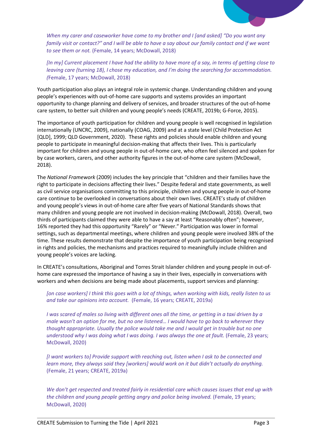

*When my carer and caseworker have come to my brother and I [and asked] "Do you want any family visit or contact?" and I will be able to have a say about our family contact and if we want to see them or not.* (Female, 14 years; McDowall, 2018)

*[In my] Current placement I have had the ability to have more of a say, in terms of getting close to leaving care (turning 18), I chose my education, and I'm doing the searching for accommodation. (*Female, 17 years; McDowall, 2018)

Youth participation also plays an integral role in systemic change. Understanding children and young people's experiences with out-of-home care supports and systems provides an important opportunity to change planning and delivery of services, and broader structures of the out-of-home care system, to better suit children and young people's needs (CREATE, 2019b; G-Force, 2015).

The importance of youth participation for children and young people is well recognised in legislation internationally (UNCRC, 2009), nationally (COAG, 2009) and at a state level (Child Protection Act [QLD], 1999; QLD Government, 2020). These rights and policies should enable children and young people to participate in meaningful decision-making that affects their lives. This is particularly important for children and young people in out-of-home care, who often feel silenced and spoken for by case workers, carers, and other authority figures in the out-of-home care system (McDowall, 2018).

The *National Framework* (2009) includes the key principle that "children and their families have the right to participate in decisions affecting their lives." Despite federal and state governments, as well as civil service organisations committing to this principle, children and young people in out-of-home care continue to be overlooked in conversations about their own lives. CREATE's study of children and young people's views in out-of-home care after five years of National Standards shows that many children and young people are not involved in decision-making (McDowall, 2018). Overall, two thirds of participants claimed they were able to have a say at least "Reasonably often"; however, 16% reported they had this opportunity "Rarely" or "Never." Participation was lower in formal settings, such as departmental meetings, where children and young people were involved 38% of the time. These results demonstrate that despite the importance of youth participation being recognised in rights and policies, the mechanisms and practices required to meaningfully include children and young people's voices are lacking.

In CREATE's consultations, Aboriginal and Torres Strait Islander children and young people in out-ofhome care expressed the importance of having a say in their lives, especially in conversations with workers and when decisions are being made about placements, support services and planning:

*[on case workers] I think this goes with a lot of things, when working with kids, really listen to us and take our opinions into account.* (Female, 16 years; CREATE, 2019a)

*I was scared of males so living with different ones all the time, or getting in a taxi driven by a male wasn't an option for me, but no one listened… I would have to go back to wherever they thought appropriate. Usually the police would take me and I would get in trouble but no one understood why I was doing what I was doing. I was always the one at fault.* (Female, 23 years; McDowall, 2020)

*[I want workers to] Provide support with reaching out, listen when I ask to be connected and learn more, they always said they [workers] would work on it but didn't actually do anything.*  (Female, 21 years; CREATE, 2019a)

*We don't get respected and treated fairly in residential care which causes issues that end up with the children and young people getting angry and police being involved.* (Female, 19 years; McDowall, 2020)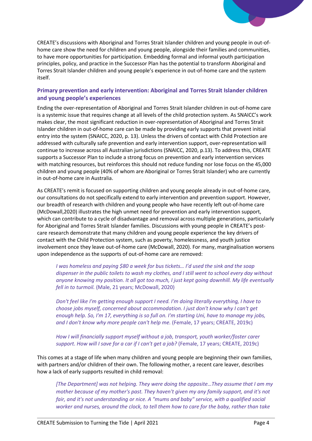

#### **Primary prevention and early intervention: Aboriginal and Torres Strait Islander children and young people's experiences**

Ending the over-representation of Aboriginal and Torres Strait Islander children in out-of-home care is a systemic issue that requires change at all levels of the child protection system. As SNAICC's work makes clear, the most significant reduction in over-representation of Aboriginal and Torres Strait Islander children in out-of-home care can be made by providing early supports that prevent initial entry into the system (SNAICC, 2020, p. 13). Unless the drivers of contact with Child Protection are addressed with culturally safe prevention and early intervention support, over-representation will continue to increase across all Australian jurisdictions (SNAICC, 2020, p.13). To address this, CREATE supports a Successor Plan to include a strong focus on prevention and early intervention services with matching resources, but reinforces this should not reduce funding nor lose focus on the 45,000 children and young people (40% of whom are Aboriginal or Torres Strait Islander) who are currently in out-of-home care in Australia.

As CREATE's remit is focused on supporting children and young people already in out-of-home care, our consultations do not specifically extend to early intervention and prevention support. However, our breadth of research with children and young people who have recently left out-of-home care (McDowall,2020) illustrates the high unmet need for prevention and early intervention support, which can contribute to a cycle of disadvantage and removal across multiple generations, particularly for Aboriginal and Torres Strait Islander families. Discussions with young people in CREATE's postcare research demonstrate that many children and young people experience the key drivers of contact with the Child Protection system, such as poverty, homelessness, and youth justice involvement once they leave out-of-home care (McDowall, 2020). For many, marginalisation worsens upon independence as the supports of out-of-home care are removed:

*I was homeless and paying \$80 a week for bus tickets… I'd used the sink and the soap dispenser in the public toilets to wash my clothes, and I still went to school every day without anyone knowing my position. It all got too much, I just kept going downhill. My life eventually fell in to turmoil.* (Male, 21 years; McDowall, 2020)

*Don't feel like I'm getting enough support I need. I'm doing literally everything, I have to choose jobs myself, concerned about accommodation. I just don't know why I can't get enough help. So, I'm 17, everything is so full on. I'm starting Uni, have to manage my jobs, and I don't know why more people can't help me.* (Female, 17 years; CREATE, 2019c)

*How I will financially support myself without a job, transport, youth worker/foster carer support. How will I save for a car if I can't get a job?* (Female, 17 years; CREATE, 2019c)

This comes at a stage of life when many children and young people are beginning their own families, with partners and/or children of their own. The following mother, a recent care leaver, describes how a lack of early supports resulted in child removal:

*[The Department] was not helping. They were doing the opposite…They assume that I am my mother because of my mother's past. They haven't given my any family support, and it's not fair, and it's not understanding or nice. A "mums and baby" service, with a qualified social worker and nurses, around the clock, to tell them how to care for the baby, rather than take*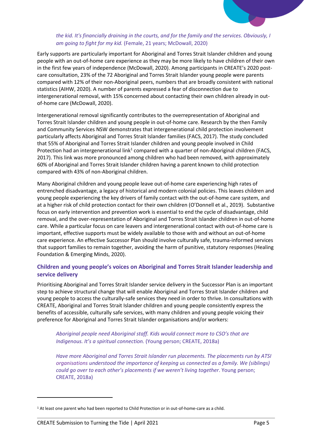

Early supports are particularly important for Aboriginal and Torres Strait Islander children and young people with an out-of-home care experience as they may be more likely to have children of their own in the first few years of independence (McDowall, 2020). Among participants in CREATE's 2020 postcare consultation, 23% of the 72 Aboriginal and Torres Strait Islander young people were parents compared with 12% of their non-Aboriginal peers, numbers that are broadly consistent with national statistics (AIHW, 2020). A number of parents expressed a fear of disconnection due to intergenerational removal, with 15% concerned about contacting their own children already in outof-home care (McDowall, 2020).

Intergenerational removal significantly contributes to the overrepresentation of Aboriginal and Torres Strait Islander children and young people in out-of-home care. Research by the then Family and Community Services NSW demonstrates that intergenerational child protection involvement particularly affects Aboriginal and Torres Strait Islander families (FACS, 2017). The study concluded that 55% of Aboriginal and Torres Strait Islander children and young people involved in Child Protection had an intergenerational link<sup>1</sup> compared with a quarter of non-Aboriginal children (FACS, 2017). This link was more pronounced among children who had been removed, with approximately 60% of Aboriginal and Torres Strait Islander children having a parent known to child protection compared with 43% of non-Aboriginal children.

Many Aboriginal children and young people leave out-of-home care experiencing high rates of entrenched disadvantage, a legacy of historical and modern colonial policies. This leaves children and young people experiencing the key drivers of family contact with the out-of-home care system, and at a higher risk of child protection contact for their own children (O'Donnell et al., 2019). Substantive focus on early intervention and prevention work is essential to end the cycle of disadvantage, child removal, and the over-representation of Aboriginal and Torres Strait Islander children in out-of-home care. While a particular focus on care leavers and intergenerational contact with out-of-home care is important, effective supports must be widely available to those with and without an out-of-home care experience. An effective Successor Plan should involve culturally safe, trauma-informed services that support families to remain together, avoiding the harm of punitive, statutory responses (Healing Foundation & Emerging Minds, 2020).

#### **Children and young people's voices on Aboriginal and Torres Strait Islander leadership and service delivery**

Prioritising Aboriginal and Torres Strait Islander service delivery in the Successor Plan is an important step to achieve structural change that will enable Aboriginal and Torres Strait Islander children and young people to access the culturally-safe services they need in order to thrive. In consultations with CREATE, Aboriginal and Torres Strait Islander children and young people consistently express the benefits of accessible, culturally safe services, with many children and young people voicing their preference for Aboriginal and Torres Strait Islander organisations and/or workers:

*Aboriginal people need Aboriginal staff. Kids would connect more to CSO's that are Indigenous. It's a spiritual connection.* (Young person; CREATE, 2018a)

*Have more Aboriginal and Torres Strait Islander run placements. The placements run by ATSI organisations understood the importance of keeping us connected as a family. We (siblings) could go over to each other's placements if we weren't living together*. Young person; CREATE, 2018a)

 $\overline{\phantom{a}}$ 

<sup>1</sup> At least one parent who had been reported to Child Protection or in out-of-home-care as a child.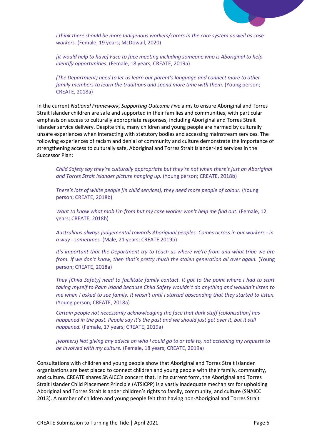

*I think there should be more Indigenous workers/carers in the care system as well as case workers.* (Female, 19 years; McDowall, 2020)

*[it would help to have] Face to face meeting including someone who is Aboriginal to help identify opportunities.* (Female, 18 years; CREATE, 2019a)

*(The Department) need to let us learn our parent's language and connect more to other family members to learn the traditions and spend more time with them.* (Young person; CREATE, 2018a)

In the current *National Framework, Supporting Outcome Five* aims to ensure Aboriginal and Torres Strait Islander children are safe and supported in their families and communities, with particular emphasis on access to culturally appropriate responses, including Aboriginal and Torres Strait Islander service delivery. Despite this, many children and young people are harmed by culturally unsafe experiences when interacting with statutory bodies and accessing mainstream services. The following experiences of racism and denial of community and culture demonstrate the importance of strengthening access to culturally safe, Aboriginal and Torres Strait Islander-led services in the Successor Plan:

*Child Safety say they're culturally appropriate but they're not when there's just an Aboriginal and Torres Strait Islander picture hanging up.* (Young person; CREATE, 2018b)

*There's lots of white people [in child services], they need more people of colour.* (Young person; CREATE, 2018b)

*Want to know what mob I'm from but my case worker won't help me find out.* (Female, 12 years; CREATE, 2018b)

*Australians always judgemental towards Aboriginal peoples. Comes across in our workers - in a way - sometimes.* (Male, 21 years; CREATE 2019b)

*It's important that the Department try to teach us where we're from and what tribe we are from. If we don't know, then that's pretty much the stolen generation all over again.* (Young person; CREATE, 2018a)

*They [Child Safety] need to facilitate family contact. It got to the point where I had to start taking myself to Palm Island because Child Safety wouldn't do anything and wouldn't listen to me when I asked to see family. It wasn't until I started absconding that they started to listen.* (Young person; CREATE, 2018a)

*Certain people not necessarily acknowledging the face that dark stuff [colonisation] has happened in the past. People say it's the past and we should just get over it, but it still happened.* (Female, 17 years; CREATE, 2019a)

*[workers] Not giving any advice on who I could go to or talk to, not actioning my requests to be involved with my culture.* (Female, 18 years; CREATE, 2019a)

Consultations with children and young people show that Aboriginal and Torres Strait Islander organisations are best placed to connect children and young people with their family, community, and culture. CREATE shares SNAICC's concern that, in its current form, the Aboriginal and Torres Strait Islander Child Placement Principle (ATSICPP) is a vastly inadequate mechanism for upholding Aboriginal and Torres Strait Islander children's rights to family, community, and culture (SNAICC 2013). A number of children and young people felt that having non-Aboriginal and Torres Strait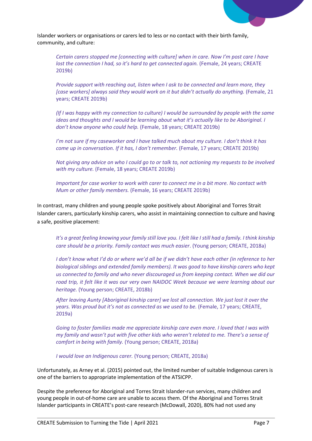

Islander workers or organisations or carers led to less or no contact with their birth family, community, and culture:

*Certain carers stopped me [connecting with culture] when in care. Now I'm post care I have lost the connection I had, so it's hard to get connected again.* (Female, 24 years; CREATE 2019b)

*Provide support with reaching out, listen when I ask to be connected and learn more, they*  [case workers] always said they would work on it but didn't actually do anything. (Female, 21 years; CREATE 2019b)

*(If I was happy with my connection to culture) I would be surrounded by people with the same ideas and thoughts and I would be learning about what it's actually like to be Aboriginal. I don't know anyone who could help.* (Female, 18 years; CREATE 2019b)

*I'm not sure if my caseworker and I have talked much about my culture. I don't think it has come up in conversation. If it has, I don't remember.* (Female, 17 years; CREATE 2019b)

*Not giving any advice on who I could go to or talk to, not actioning my requests to be involved with my culture.* (Female, 18 years; CREATE 2019b)

*Important for case worker to work with carer to connect me in a bit more. No contact with Mum or other family members.* (Female, 16 years; CREATE 2019b)

In contrast, many children and young people spoke positively about Aboriginal and Torres Strait Islander carers, particularly kinship carers, who assist in maintaining connection to culture and having a safe, positive placement:

*It's a great feeling knowing your family still love you. I felt like I still had a family. I think kinship care should be a priority. Family contact was much easier*. (Young person; CREATE, 2018a)

*I don't know what I'd do or where we'd all be if we didn't have each other (in reference to her biological siblings and extended family members). It was good to have kinship carers who kept us connected to family and who never discouraged us from keeping contact. When we did our road trip, it felt like it was our very own NAIDOC Week because we were learning about our heritage.* (Young person; CREATE, 2018b)

*After leaving Aunty [Aboriginal kinship carer] we lost all connection. We just lost it over the years. Was proud but it's not as connected as we used to be.* (Female, 17 years; CREATE, 2019a)

*Going to foster families made me appreciate kinship care even more. I loved that I was with my family and wasn't put with five other kids who weren't related to me. There's a sense of comfort in being with family.* (Young person; CREATE, 2018a)

*I would love an Indigenous carer.* (Young person; CREATE, 2018a)

Unfortunately, as Arney et al. (2015) pointed out, the limited number of suitable Indigenous carers is one of the barriers to appropriate implementation of the ATSICPP.

Despite the preference for Aboriginal and Torres Strait Islander-run services, many children and young people in out-of-home care are unable to access them. Of the Aboriginal and Torres Strait Islander participants in CREATE's post-care research (McDowall, 2020), 80% had not used any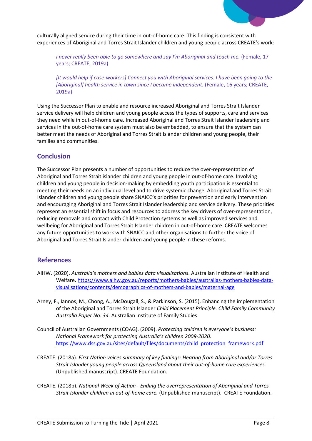

culturally aligned service during their time in out-of-home care. This finding is consistent with experiences of Aboriginal and Torres Strait Islander children and young people across CREATE's work:

*I never really been able to go somewhere and say I'm Aboriginal and teach me. (Female, 17* years; CREATE, 2019a)

*[It would help if case-workers] Connect you with Aboriginal services. I have been going to the [Aboriginal] health service in town since I became independent.* (Female, 16 years; CREATE, 2019a)

Using the Successor Plan to enable and resource increased Aboriginal and Torres Strait Islander service delivery will help children and young people access the types of supports, care and services they need while in out-of-home care. Increased Aboriginal and Torres Strait Islander leadership and services in the out-of-home care system must also be embedded, to ensure that the system can better meet the needs of Aboriginal and Torres Strait Islander children and young people, their families and communities.

## **Conclusion**

The Successor Plan presents a number of opportunities to reduce the over-representation of Aboriginal and Torres Strait islander children and young people in out-of-home care. Involving children and young people in decision-making by embedding youth participation is essential to meeting their needs on an individual level and to drive systemic change. Aboriginal and Torres Strait Islander children and young people share SNAICC's priorities for prevention and early intervention and encouraging Aboriginal and Torres Strait Islander leadership and service delivery. These priorities represent an essential shift in focus and resources to address the key drivers of over-representation, reducing removals and contact with Child Protection systems as well as improved services and wellbeing for Aboriginal and Torres Strait Islander children in out-of-home care. CREATE welcomes any future opportunities to work with SNAICC and other organisations to further the voice of Aboriginal and Torres Strait Islander children and young people in these reforms.

## **References**

- AIHW. (2020). *Australia's mothers and babies data visualisations*. Australian Institute of Health and Welfare. [https://www.aihw.gov.au/reports/mothers-babies/australias-mothers-babies-data](https://www.aihw.gov.au/reports/mothers-babies/australias-mothers-babies-data-visualisations/contents/demographics-of-mothers-and-babies/maternal-age)[visualisations/contents/demographics-of-mothers-and-babies/maternal-age](https://www.aihw.gov.au/reports/mothers-babies/australias-mothers-babies-data-visualisations/contents/demographics-of-mothers-and-babies/maternal-age)
- Arney, F., Iannos, M., Chong, A., McDougall, S., & Parkinson, S. (2015). Enhancing the implementation of the Aboriginal and Torres Strait Islander *Child Placement Principle. Child Family Community Australia Paper No. 34.* Australian Institute of Family Studies.
- Council of Australian Governments (COAG). (2009). *Protecting children is everyone's business: National Framework for protecting Australia's children 2009-2020.* [https://www.dss.gov.au/sites/default/files/documents/child\\_protection\\_framework.pdf](https://www.dss.gov.au/sites/default/files/documents/child_protection_framework.pdf)
- CREATE. (2018a). *First Nation voices summary of key findings: Hearing from Aboriginal and/or Torres Strait Islander young people across Queensland about their out-of-home care experiences.*  (Unpublished manuscript). CREATE Foundation.
- CREATE. (2018b). *National Week of Action - Ending the overrepresentation of Aboriginal and Torres Strait Islander children in out-of-home care.* (Unpublished manuscript). CREATE Foundation.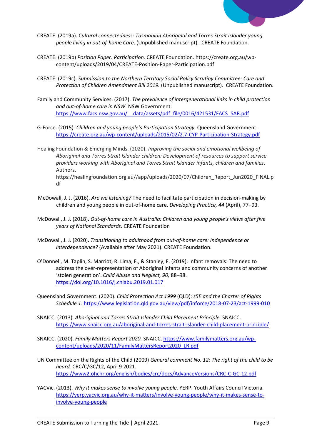

- CREATE. (2019a). *Cultural connectedness: Tasmanian Aboriginal and Torres Strait Islander young people living in out-of-home Care*. (Unpublished manuscript). CREATE Foundation.
- CREATE. (2019b) *Position Paper: Participation.* CREATE Foundation. https://create.org.au/wpcontent/uploads/2019/04/CREATE-Position-Paper-Participation.pdf
- CREATE. (2019c). *Submission to the Northern Territory Social Policy Scrutiny Committee: Care and Protection of Children Amendment Bill 2019.* (Unpublished manuscript). CREATE Foundation.
- Family and Community Services. (2017). *The prevalence of intergenerational links in child protection and out-of-home care in NSW*. NSW Government. https://www.facs.nsw.gov.au/ data/assets/pdf file/0016/421531/FACS\_SAR.pdf
- G-Force. (2015). *Children and young people's Participation Strategy.* Queensland Government. <https://create.org.au/wp-content/uploads/2015/02/2.7-CYP-Participation-Strategy.pdf>

Healing Foundation & Emerging Minds. (2020). *Improving the social and emotional wellbeing of Aboriginal and Torres Strait Islander children: Development of resources to support service providers working with Aboriginal and Torres Strait Islander infants, children and families*. Authors. https://healingfoundation.org.au//app/uploads/2020/07/Children\_Report\_Jun2020\_FINAL.p df

- McDowall, J. J. (2016). *Are we listening?* The need to facilitate participation in decision-making by children and young people in out-of-home care. *Developing Practice, 44* (April), 77–93.
- McDowall, J. J. (2018). *Out-of-home care in Australia: Children and young people's views after five years of National Standards.* CREATE Foundation
- McDowall, J. J. (2020). *Transitioning to adulthood from out-of-home care: Independence or interdependence?* (Available after May 2021). CREATE Foundation.
- O'Donnell, M. Taplin, S. Marriot, R. Lima, F., & Stanley, F. (2019). Infant removals: The need to address the over-representation of Aboriginal infants and community concerns of another 'stolen generation'. *Child Abuse and Neglect, 90,* 88–98. <https://doi.org/10.1016/j.chiabu.2019.01.017>
- Queensland Government. (2020). *Child Protection Act 1999* (QLD): *s5E and the Charter of Rights Schedule 1*.<https://www.legislation.qld.gov.au/view/pdf/inforce/2018-07-23/act-1999-010>
- SNAICC. (2013). *Aboriginal and Torres Strait Islander Child Placement Principle.* SNAICC. <https://www.snaicc.org.au/aboriginal-and-torres-strait-islander-child-placement-principle/>
- SNAICC. (2020). *Family Matters Report 2020.* SNAICC. [https://www.familymatters.org.au/wp](https://www.familymatters.org.au/wp-content/uploads/2020/11/FamilyMattersReport2020_LR.pdf)[content/uploads/2020/11/FamilyMattersReport2020\\_LR.pdf](https://www.familymatters.org.au/wp-content/uploads/2020/11/FamilyMattersReport2020_LR.pdf)
- UN Committee on the Rights of the Child (2009) *General comment No. 12: The right of the child to be heard.* CRC/C/GC/12, April 9 2021. <https://www2.ohchr.org/english/bodies/crc/docs/AdvanceVersions/CRC-C-GC-12.pdf>
- YACVic. (2013). *Why it makes sense to involve young people.* YERP. Youth Affairs Council Victoria. [https://yerp.yacvic.org.au/why-it-matters/involve-young-people/why-it-makes-sense-to](https://yerp.yacvic.org.au/why-it-matters/involve-young-people/why-it-makes-sense-to-involve-young-people)[involve-young-people](https://yerp.yacvic.org.au/why-it-matters/involve-young-people/why-it-makes-sense-to-involve-young-people)